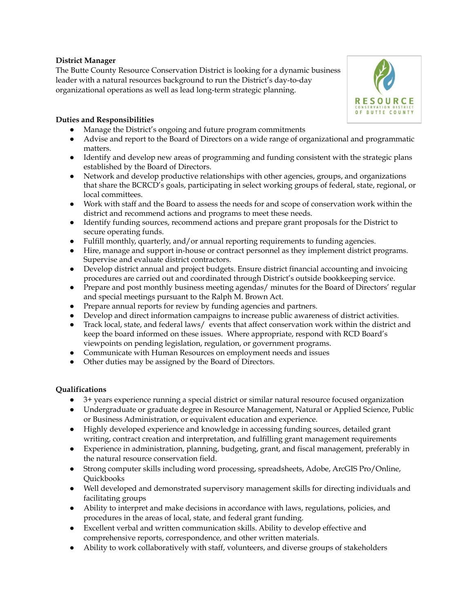### **District Manager**

The Butte County Resource Conservation District is looking for a dynamic business leader with a natural resources background to run the District's day-to-day organizational operations as well as lead long-term strategic planning.

# **Duties and Responsibilities**

- Manage the District's ongoing and future program commitments
- Advise and report to the Board of Directors on a wide range of organizational and programmatic matters.
- Identify and develop new areas of programming and funding consistent with the strategic plans established by the Board of Directors.
- Network and develop productive relationships with other agencies, groups, and organizations that share the BCRCD's goals, participating in select working groups of federal, state, regional, or local committees.
- Work with staff and the Board to assess the needs for and scope of conservation work within the district and recommend actions and programs to meet these needs.
- Identify funding sources, recommend actions and prepare grant proposals for the District to secure operating funds.
- Fulfill monthly, quarterly, and/or annual reporting requirements to funding agencies.
- Hire, manage and support in-house or contract personnel as they implement district programs. Supervise and evaluate district contractors.
- Develop district annual and project budgets. Ensure district financial accounting and invoicing procedures are carried out and coordinated through District's outside bookkeeping service.
- Prepare and post monthly business meeting agendas/ minutes for the Board of Directors' regular and special meetings pursuant to the Ralph M. Brown Act.
- Prepare annual reports for review by funding agencies and partners.
- Develop and direct information campaigns to increase public awareness of district activities.
- Track local, state, and federal laws/ events that affect conservation work within the district and keep the board informed on these issues. Where appropriate, respond with RCD Board's viewpoints on pending legislation, regulation, or government programs.
- Communicate with Human Resources on employment needs and issues
- Other duties may be assigned by the Board of Directors.

## **Qualifications**

- 3+ years experience running a special district or similar natural resource focused organization
- Undergraduate or graduate degree in Resource Management, Natural or Applied Science, Public or Business Administration, or equivalent education and experience.
- Highly developed experience and knowledge in accessing funding sources, detailed grant writing, contract creation and interpretation, and fulfilling grant management requirements
- Experience in administration, planning, budgeting, grant, and fiscal management, preferably in the natural resource conservation field.
- Strong computer skills including word processing, spreadsheets, Adobe, ArcGIS Pro/Online, Quickbooks
- Well developed and demonstrated supervisory management skills for directing individuals and facilitating groups
- Ability to interpret and make decisions in accordance with laws, regulations, policies, and procedures in the areas of local, state, and federal grant funding.
- Excellent verbal and written communication skills. Ability to develop effective and comprehensive reports, correspondence, and other written materials.
- Ability to work collaboratively with staff, volunteers, and diverse groups of stakeholders